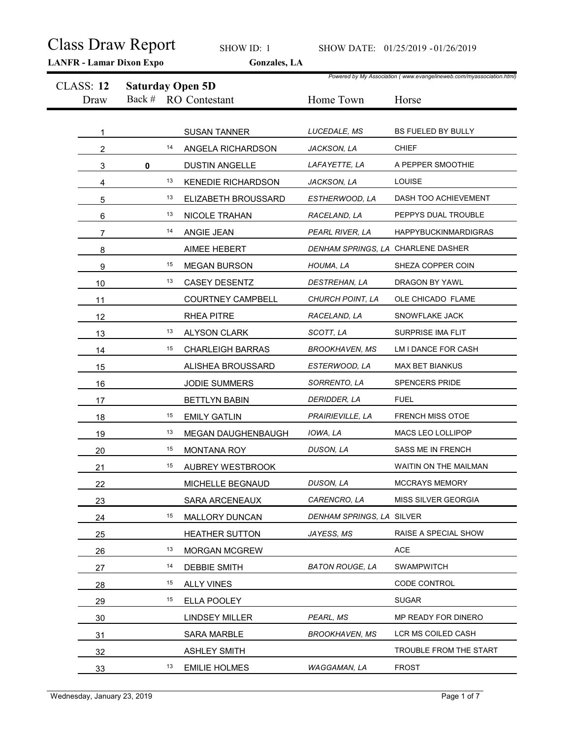|                          | <b>LANFR</b> - Lamar Dixon Expo   | SHOW ID: 1<br>Gonzales, LA |                                    | SHOW DATE: 01/25/2019 - 01/26/2019                                            |
|--------------------------|-----------------------------------|----------------------------|------------------------------------|-------------------------------------------------------------------------------|
| <b>CLASS: 12</b><br>Draw | <b>Saturday Open 5D</b><br>Back # | <b>RO</b> Contestant       | Home Town                          | Powered by My Association (www.evangelineweb.com/myassociation.html)<br>Horse |
|                          |                                   | <b>SUSAN TANNER</b>        | LUCEDALE, MS                       | BS FUELED BY BULLY                                                            |
| $\overline{2}$           | 14                                | ANGELA RICHARDSON          | JACKSON, LA                        | <b>CHIEF</b>                                                                  |
| 3                        | $\pmb{0}$                         | <b>DUSTIN ANGELLE</b>      | LAFAYETTE, LA                      | A PEPPER SMOOTHIE                                                             |
| 4                        | 13                                | <b>KENEDIE RICHARDSON</b>  | JACKSON, LA                        | LOUISE                                                                        |
| 5                        | 13                                | ELIZABETH BROUSSARD        | ESTHERWOOD, LA                     | DASH TOO ACHIEVEMENT                                                          |
| 6                        | 13                                | NICOLE TRAHAN              | RACELAND, LA                       | PEPPYS DUAL TROUBLE                                                           |
|                          | 14                                | ANGIE JEAN                 | PEARL RIVER, LA                    | HAPPYBUCKINMARDIGRAS                                                          |
| 8                        |                                   | AIMEE HEBERT               | DENHAM SPRINGS, LA CHARLENE DASHER |                                                                               |
| 9                        | 15                                | <b>MEGAN BURSON</b>        | HOUMA, LA                          | SHEZA COPPER COIN                                                             |
| 10                       | 13                                | CASEY DESENTZ              | DESTREHAN, LA                      | DRAGON BY YAWL                                                                |
| 11                       |                                   | <b>COURTNEY CAMPBELL</b>   | CHURCH POINT, LA                   | OLE CHICADO FLAME                                                             |
| 12                       |                                   | RHEA PITRE                 | RACELAND, LA                       | SNOWFLAKE JACK                                                                |
| 13                       | 13                                | ALYSON CLARK               | SCOTT, LA                          | SURPRISE IMA FLIT                                                             |
| 14                       | 15                                | <b>CHARLEIGH BARRAS</b>    | <b>BROOKHAVEN, MS</b>              | LM I DANCE FOR CASH                                                           |
| 15                       |                                   | ALISHEA BROUSSARD          | ESTERWOOD, LA                      | MAX BET BIANKUS                                                               |
| 16                       |                                   | JODIE SUMMERS              | SORRENTO, LA                       | SPENCERS PRIDE                                                                |
| 17                       |                                   | <b>BETTLYN BABIN</b>       | DERIDDER, LA                       | <b>FUEL</b>                                                                   |
| 18                       | 15                                | <b>EMILY GATLIN</b>        | PRAIRIEVILLE, LA                   | <b>FRENCH MISS OTOE</b>                                                       |
| 19                       | 13                                | MEGAN DAUGHENBAUGH         | IOWA, LA                           | MACS LEO LOLLIPOP                                                             |
| 20                       | 15                                | <b>MONTANA ROY</b>         | DUSON, LA                          | SASS ME IN FRENCH                                                             |
| 21                       | 15                                | AUBREY WESTBROOK           |                                    | WAITIN ON THE MAILMAN                                                         |
| 22                       |                                   | MICHELLE BEGNAUD           | DUSON, LA                          | MCCRAYS MEMORY                                                                |
| 23                       |                                   | SARA ARCENEAUX             | CARENCRO, LA                       | MISS SILVER GEORGIA                                                           |
| 24                       | 15                                | MALLORY DUNCAN             | DENHAM SPRINGS, LA SILVER          |                                                                               |
| 25                       |                                   | HEATHER SUTTON             | JAYESS, MS                         | RAISE A SPECIAL SHOW                                                          |
| 26                       | 13                                | MORGAN MCGREW              |                                    | ACE                                                                           |
| 27                       | 14                                | DEBBIE SMITH               | <b>BATON ROUGE, LA</b>             | SWAMPWITCH                                                                    |
| 28                       | 15                                | <b>ALLY VINES</b>          |                                    | CODE CONTROL                                                                  |
| 29                       | 15                                | ELLA POOLEY                |                                    | SUGAR                                                                         |
| 30                       |                                   | <b>LINDSEY MILLER</b>      | PEARL, MS                          | MP READY FOR DINERO                                                           |
| 31                       |                                   | SARA MARBLE                | <b>BROOKHAVEN, MS</b>              | LCR MS COILED CASH                                                            |
| 32                       |                                   | <b>ASHLEY SMITH</b>        |                                    | TROUBLE FROM THE START                                                        |
| 33                       | 13                                | <b>EMILIE HOLMES</b>       | WAGGAMAN, LA                       | <b>FROST</b>                                                                  |
|                          |                                   |                            |                                    |                                                                               |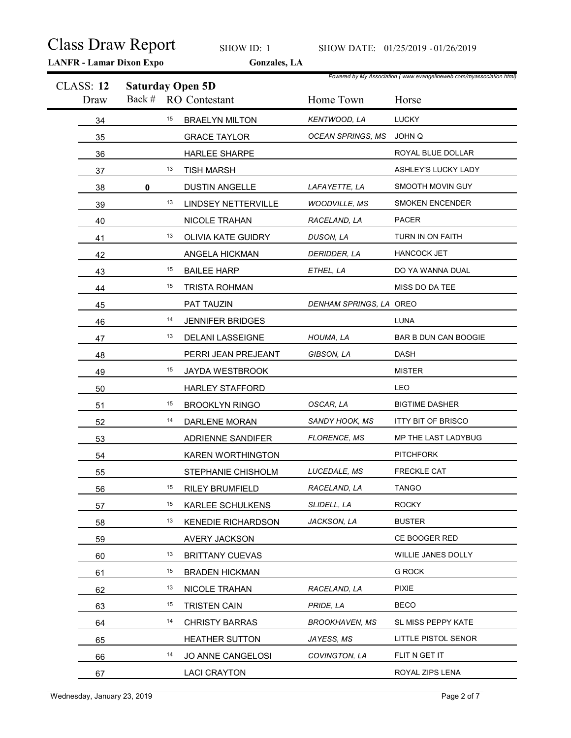|                          | <b>Class Draw Report</b><br><b>LANFR</b> - Lamar Dixon Expo | SHOW ID: 1<br>Gonzales, LA |                         | SHOW DATE: 01/25/2019 - 01/26/2019                                            |
|--------------------------|-------------------------------------------------------------|----------------------------|-------------------------|-------------------------------------------------------------------------------|
| <b>CLASS: 12</b><br>Draw | <b>Saturday Open 5D</b>                                     | Back # RO Contestant       | Home Town               | Powered by My Association (www.evangelineweb.com/myassociation.html)<br>Horse |
| 34                       | 15                                                          | <b>BRAELYN MILTON</b>      | KENTWOOD, LA            | LUCKY                                                                         |
| 35                       |                                                             | <b>GRACE TAYLOR</b>        | OCEAN SPRINGS, MS       | JOHN Q                                                                        |
| 36                       |                                                             | HARLEE SHARPE              |                         | ROYAL BLUE DOLLAR                                                             |
| 37                       | 13                                                          | <b>TISH MARSH</b>          |                         | ASHLEY'S LUCKY LADY                                                           |
| 38                       | $\mathbf 0$                                                 | <b>DUSTIN ANGELLE</b>      | LAFAYETTE, LA           | SMOOTH MOVIN GUY                                                              |
| 39                       | 13                                                          | <b>LINDSEY NETTERVILLE</b> | <b>WOODVILLE, MS</b>    | <b>SMOKEN ENCENDER</b>                                                        |
| 40                       |                                                             | NICOLE TRAHAN              | RACELAND, LA            | <b>PACER</b>                                                                  |
| 41                       | 13                                                          | OLIVIA KATE GUIDRY         | DUSON, LA               | TURN IN ON FAITH                                                              |
| 42                       |                                                             | ANGELA HICKMAN             | DERIDDER, LA            | <b>HANCOCK JET</b>                                                            |
| 43                       | 15                                                          | <b>BAILEE HARP</b>         | ETHEL, LA               | DO YA WANNA DUAL                                                              |
| 44                       | 15                                                          | <b>TRISTA ROHMAN</b>       |                         | MISS DO DA TEE                                                                |
| 45                       |                                                             | PAT TAUZIN                 | DENHAM SPRINGS, LA OREO |                                                                               |
| 46                       | 14                                                          | <b>JENNIFER BRIDGES</b>    |                         | <b>LUNA</b>                                                                   |
| 47                       | 13                                                          | DELANI LASSEIGNE           | HOUMA, LA               | BAR B DUN CAN BOOGIE                                                          |
| 48                       |                                                             | PERRI JEAN PREJEANT        | GIBSON, LA              | DASH                                                                          |
| 49                       | 15                                                          | JAYDA WESTBROOK            |                         | <b>MISTER</b>                                                                 |
| 50                       |                                                             | <b>HARLEY STAFFORD</b>     |                         | LEO                                                                           |
| 51                       | 15                                                          | <b>BROOKLYN RINGO</b>      | OSCAR, LA               | <b>BIGTIME DASHER</b>                                                         |
| 52                       | 14                                                          | DARLENE MORAN              | SANDY HOOK, MS          | <b>ITTY BIT OF BRISCO</b>                                                     |
| 53                       |                                                             | ADRIENNE SANDIFER          | FLORENCE, MS            | MP THE LAST LADYBUG                                                           |
| 54                       |                                                             | KAREN WORTHINGTON          |                         | <b>PITCHFORK</b>                                                              |
| 55                       |                                                             | STEPHANIE CHISHOLM         | LUCEDALE, MS            | FRECKLE CAT                                                                   |
| 56                       | 15                                                          | <b>RILEY BRUMFIELD</b>     | RACELAND, LA            | <b>TANGO</b>                                                                  |
| 57                       | 15                                                          | KARLEE SCHULKENS           | SLIDELL, LA             | <b>ROCKY</b>                                                                  |
| 58                       | 13                                                          | <b>KENEDIE RICHARDSON</b>  | JACKSON, LA             | <b>BUSTER</b>                                                                 |
| 59                       |                                                             | AVERY JACKSON              |                         | CE BOOGER RED                                                                 |
| 60                       | 13                                                          | <b>BRITTANY CUEVAS</b>     |                         | WILLIE JANES DOLLY                                                            |
| 61                       | 15                                                          | <b>BRADEN HICKMAN</b>      |                         | <b>G ROCK</b>                                                                 |
| 62                       | 13                                                          | NICOLE TRAHAN              | RACELAND, LA            | <b>PIXIE</b>                                                                  |
| 63                       | 15                                                          | <b>TRISTEN CAIN</b>        | PRIDE, LA               | <b>BECO</b>                                                                   |
| 64                       | 14                                                          | <b>CHRISTY BARRAS</b>      | <b>BROOKHAVEN, MS</b>   | SL MISS PEPPY KATE                                                            |
| 65                       |                                                             | <b>HEATHER SUTTON</b>      | JAYESS, MS              | LITTLE PISTOL SENOR                                                           |
| 66                       | 14                                                          | JO ANNE CANGELOSI          | COVINGTON, LA           | FLIT N GET IT                                                                 |
| 67                       |                                                             | <b>LACI CRAYTON</b>        |                         | ROYAL ZIPS LENA                                                               |
|                          |                                                             |                            |                         |                                                                               |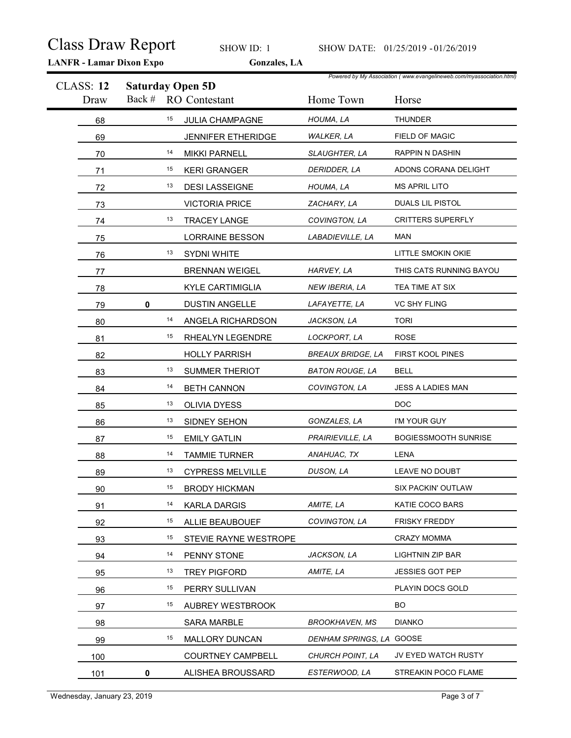|                          | <b>LANFR - Lamar Dixon Expo</b> | <b>Class Draw Report</b><br>SHOW ID: 1<br>Gonzales, LA |                          | SHOW DATE: 01/25/2019 - 01/26/2019                                            |
|--------------------------|---------------------------------|--------------------------------------------------------|--------------------------|-------------------------------------------------------------------------------|
| <b>CLASS: 12</b><br>Draw | <b>Saturday Open 5D</b>         | Back # RO Contestant                                   | Home Town                | Powered by My Association (www.evangelineweb.com/myassociation.html)<br>Horse |
| 68                       | 15                              | JULIA CHAMPAGNE                                        | HOUMA, LA                | <b>THUNDER</b>                                                                |
| 69                       |                                 | JENNIFER ETHERIDGE                                     | <b>WALKER, LA</b>        | FIELD OF MAGIC                                                                |
| 70                       | 14                              | <b>MIKKI PARNELL</b>                                   | SLAUGHTER, LA            | <b>RAPPIN N DASHIN</b>                                                        |
| 71                       | 15                              | <b>KERI GRANGER</b>                                    | DERIDDER, LA             | ADONS CORANA DELIGHT                                                          |
| 72                       | 13                              | <b>DESI LASSEIGNE</b>                                  | HOUMA, LA                | <b>MS APRIL LITO</b>                                                          |
| 73                       |                                 | <b>VICTORIA PRICE</b>                                  | ZACHARY, LA              | DUALS LIL PISTOL                                                              |
| 74                       | 13                              | TRACEY LANGE                                           | COVINGTON, LA            | <b>CRITTERS SUPERFLY</b>                                                      |
| 75                       |                                 | <b>LORRAINE BESSON</b>                                 | LABADIEVILLE, LA         | <b>MAN</b>                                                                    |
| 76                       | 13                              | SYDNI WHITE                                            |                          | LITTLE SMOKIN OKIE                                                            |
| 77                       |                                 | <b>BRENNAN WEIGEL</b>                                  | HARVEY, LA               | THIS CATS RUNNING BAYOU                                                       |
| 78                       |                                 | <b>KYLE CARTIMIGLIA</b>                                | NEW IBERIA, LA           | TEA TIME AT SIX                                                               |
| 79                       | $\mathbf 0$                     | <b>DUSTIN ANGELLE</b>                                  | LAFAYETTE, LA            | VC SHY FLING                                                                  |
| 80                       | 14                              | ANGELA RICHARDSON                                      | JACKSON, LA              | <b>TORI</b>                                                                   |
| 81                       | 15                              | RHEALYN LEGENDRE                                       | LOCKPORT, LA             | ROSE                                                                          |
| 82                       |                                 | <b>HOLLY PARRISH</b>                                   | <b>BREAUX BRIDGE, LA</b> | FIRST KOOL PINES                                                              |
| 83                       | 13                              | SUMMER THERIOT                                         | <b>BATON ROUGE, LA</b>   | <b>BELL</b>                                                                   |
| 84                       | 14                              | <b>BETH CANNON</b>                                     | COVINGTON, LA            | JESS A LADIES MAN                                                             |
| 85                       | 13                              | OLIVIA DYESS                                           |                          | <b>DOC</b>                                                                    |
| 86                       | 13                              | SIDNEY SEHON                                           | GONZALES, LA             | I'M YOUR GUY                                                                  |
| 87                       | 15                              | <b>EMILY GATLIN</b>                                    | PRAIRIEVILLE, LA         | <b>BOGIESSMOOTH SUNRISE</b>                                                   |
| 88                       | 14                              | <b>TAMMIE TURNER</b>                                   | ANAHUAC, TX              | LENA                                                                          |
| 89                       | 13                              | <b>CYPRESS MELVILLE</b>                                | DUSON, LA                | LEAVE NO DOUBT                                                                |
| 90                       | 15                              | <b>BRODY HICKMAN</b>                                   |                          | SIX PACKIN' OUTLAW                                                            |
| 91                       | 14                              | <b>KARLA DARGIS</b>                                    | AMITE, LA                | KATIE COCO BARS                                                               |
| 92                       | 15                              | ALLIE BEAUBOUEF                                        | COVINGTON, LA            | <b>FRISKY FREDDY</b>                                                          |
| 93                       | 15                              | STEVIE RAYNE WESTROPE                                  |                          | <b>CRAZY MOMMA</b>                                                            |
| 94                       | 14                              | PENNY STONE                                            | JACKSON, LA              | <b>LIGHTNIN ZIP BAR</b>                                                       |
| 95                       | 13                              | <b>TREY PIGFORD</b>                                    | AMITE, LA                | JESSIES GOT PEP                                                               |
| 96                       | 15                              | PERRY SULLIVAN                                         |                          | PLAYIN DOCS GOLD                                                              |
| 97                       | 15                              | AUBREY WESTBROOK                                       |                          | BO                                                                            |
| 98                       |                                 | SARA MARBLE                                            | <b>BROOKHAVEN, MS</b>    | <b>DIANKO</b>                                                                 |
| 99                       | 15                              | MALLORY DUNCAN                                         | DENHAM SPRINGS, LA GOOSE |                                                                               |
| 100                      |                                 | <b>COURTNEY CAMPBELL</b>                               | CHURCH POINT, LA         | JV EYED WATCH RUSTY                                                           |
| 101                      | 0                               | ALISHEA BROUSSARD                                      | ESTERWOOD, LA            | STREAKIN POCO FLAME                                                           |
|                          |                                 |                                                        |                          |                                                                               |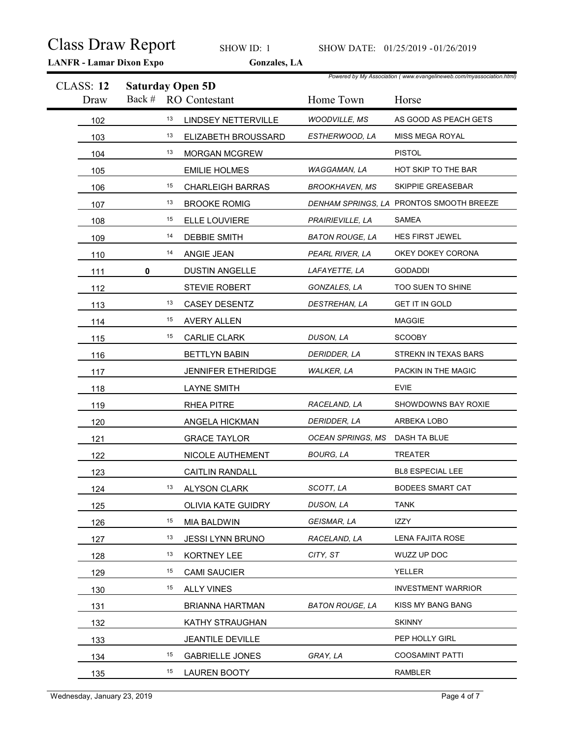|                          | <b>Class Draw Report</b><br><b>LANFR - Lamar Dixon Expo</b> | SHOW ID: 1<br>Gonzales, LA |                                | SHOW DATE: 01/25/2019 - 01/26/2019                                            |
|--------------------------|-------------------------------------------------------------|----------------------------|--------------------------------|-------------------------------------------------------------------------------|
| <b>CLASS: 12</b><br>Draw | <b>Saturday Open 5D</b>                                     | Back # RO Contestant       | Home Town                      | Powered by My Association (www.evangelineweb.com/myassociation.html)<br>Horse |
| 102                      | 13                                                          | <b>LINDSEY NETTERVILLE</b> | <b>WOODVILLE, MS</b>           | AS GOOD AS PEACH GETS                                                         |
| 103                      | 13                                                          | ELIZABETH BROUSSARD        | ESTHERWOOD, LA                 | MISS MEGA ROYAL                                                               |
| 104                      | 13                                                          | MORGAN MCGREW              |                                | <b>PISTOL</b>                                                                 |
| 105                      |                                                             | <b>EMILIE HOLMES</b>       | WAGGAMAN, LA                   | HOT SKIP TO THE BAR                                                           |
| 106                      | 15                                                          | <b>CHARLEIGH BARRAS</b>    | <b>BROOKHAVEN, MS</b>          | SKIPPIE GREASEBAR                                                             |
| 107                      | 13                                                          | <b>BROOKE ROMIG</b>        |                                | DENHAM SPRINGS, LA PRONTOS SMOOTH BREEZE                                      |
| 108                      | 15                                                          | ELLE LOUVIERE              | PRAIRIEVILLE, LA               | <b>SAMEA</b>                                                                  |
| 109                      | 14                                                          | <b>DEBBIE SMITH</b>        | <b>BATON ROUGE, LA</b>         | HES FIRST JEWEL                                                               |
| 110                      | 14                                                          | ANGIE JEAN                 | PEARL RIVER, LA                | OKEY DOKEY CORONA                                                             |
| 111                      | $\mathbf 0$                                                 | <b>DUSTIN ANGELLE</b>      | LAFAYETTE, LA                  | <b>GODADDI</b>                                                                |
| 112                      |                                                             | STEVIE ROBERT              | GONZALES, LA                   | TOO SUEN TO SHINE                                                             |
| $113$                    | 13                                                          | CASEY DESENTZ              | DESTREHAN, LA                  | <b>GET IT IN GOLD</b>                                                         |
| 114                      | 15                                                          | <b>AVERY ALLEN</b>         |                                | <b>MAGGIE</b>                                                                 |
| $115$                    | 15                                                          | <b>CARLIE CLARK</b>        | DUSON, LA                      | <b>SCOOBY</b>                                                                 |
| 116                      |                                                             | <b>BETTLYN BABIN</b>       | DERIDDER, LA                   | STREKN IN TEXAS BARS                                                          |
| 117                      |                                                             | JENNIFER ETHERIDGE         | <b>WALKER, LA</b>              | PACKIN IN THE MAGIC                                                           |
| 118                      |                                                             | <b>LAYNE SMITH</b>         |                                | <b>EVIE</b>                                                                   |
| 119                      |                                                             | RHEA PITRE                 | RACELAND, LA                   | SHOWDOWNS BAY ROXIE                                                           |
| 120                      |                                                             | ANGELA HICKMAN             | DERIDDER, LA                   | ARBEKA LOBO                                                                   |
| 121                      |                                                             | <b>GRACE TAYLOR</b>        | OCEAN SPRINGS, MS DASH TA BLUE |                                                                               |
| 122                      |                                                             | NICOLE AUTHEMENT           | <b>BOURG, LA</b>               | TREATER                                                                       |
| 123                      |                                                             | CAITLIN RANDALL            |                                | BL8 ESPECIAL LEE                                                              |
| 124                      | 13                                                          | <b>ALYSON CLARK</b>        | SCOTT, LA                      | <b>BODEES SMART CAT</b>                                                       |
| 125                      |                                                             | OLIVIA KATE GUIDRY         | DUSON, LA                      | <b>TANK</b>                                                                   |
| 126                      | 15                                                          | <b>MIA BALDWIN</b>         | GEISMAR, LA                    | IZZY                                                                          |
| 127                      | 13                                                          | JESSI LYNN BRUNO           | RACELAND, LA                   | LENA FAJITA ROSE                                                              |
| 128                      | 13                                                          | KORTNEY LEE                | CITY, ST                       | WUZZ UP DOC                                                                   |
| 129                      | 15                                                          | <b>CAMI SAUCIER</b>        |                                | YELLER                                                                        |
|                          | 15                                                          | <b>ALLY VINES</b>          |                                | <b>INVESTMENT WARRIOR</b>                                                     |
| 130                      |                                                             |                            |                                | KISS MY BANG BANG                                                             |
| 131                      |                                                             | BRIANNA HARTMAN            | <b>BATON ROUGE, LA</b>         |                                                                               |
| 132                      |                                                             | KATHY STRAUGHAN            |                                | <b>SKINNY</b>                                                                 |
| 133                      |                                                             | JEANTILE DEVILLE           |                                | PEP HOLLY GIRL                                                                |
| 134                      | 15                                                          | <b>GABRIELLE JONES</b>     | GRAY, LA                       | <b>COOSAMINT PATTI</b>                                                        |
| 135                      | 15                                                          | <b>LAUREN BOOTY</b>        |                                | <b>RAMBLER</b>                                                                |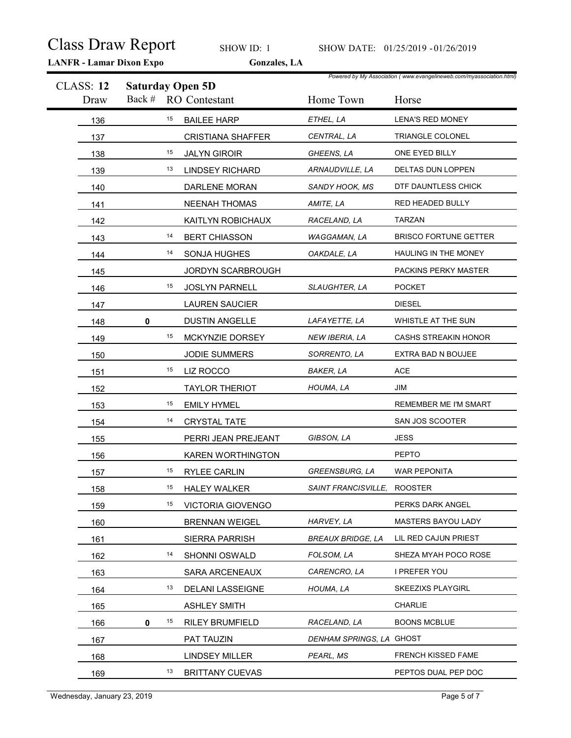|                          | <b>Class Draw Report</b><br><b>LANFR - Lamar Dixon Expo</b> | SHOW ID: 1<br>Gonzales, LA |                             | SHOW DATE: 01/25/2019 - 01/26/2019                                            |
|--------------------------|-------------------------------------------------------------|----------------------------|-----------------------------|-------------------------------------------------------------------------------|
| <b>CLASS: 12</b><br>Draw | <b>Saturday Open 5D</b>                                     | Back # RO Contestant       | Home Town                   | Powered by My Association (www.evangelineweb.com/myassociation.html)<br>Horse |
| 136                      | 15                                                          | <b>BAILEE HARP</b>         | ETHEL, LA                   | <b>LENA'S RED MONEY</b>                                                       |
| 137                      |                                                             | <b>CRISTIANA SHAFFER</b>   | CENTRAL, LA                 | TRIANGLE COLONEL                                                              |
| 138                      | 15                                                          | <b>JALYN GIROIR</b>        | GHEENS, LA                  | ONE EYED BILLY                                                                |
| 139                      | 13                                                          | <b>LINDSEY RICHARD</b>     | ARNAUDVILLE, LA             | DELTAS DUN LOPPEN                                                             |
| 140                      |                                                             | DARLENE MORAN              | SANDY HOOK, MS              | DTF DAUNTLESS CHICK                                                           |
| 141                      |                                                             | NEENAH THOMAS              | AMITE, LA                   | RED HEADED BULLY                                                              |
| 142                      |                                                             | KAITLYN ROBICHAUX          | RACELAND, LA                | <b>TARZAN</b>                                                                 |
| 143                      | 14                                                          | <b>BERT CHIASSON</b>       | WAGGAMAN, LA                | <b>BRISCO FORTUNE GETTER</b>                                                  |
| 144                      | 14                                                          | SONJA HUGHES               | OAKDALE, LA                 | HAULING IN THE MONEY                                                          |
| 145                      |                                                             | JORDYN SCARBROUGH          |                             | PACKINS PERKY MASTER                                                          |
| 146                      | 15                                                          | JOSLYN PARNELL             | SLAUGHTER, LA               | <b>POCKET</b>                                                                 |
| 147                      |                                                             | <b>LAUREN SAUCIER</b>      |                             | <b>DIESEL</b>                                                                 |
| 148                      | 0                                                           | <b>DUSTIN ANGELLE</b>      | LAFAYETTE, LA               | WHISTLE AT THE SUN                                                            |
| 149                      | 15                                                          | MCKYNZIE DORSEY            | NEW IBERIA, LA              | CASHS STREAKIN HONOR                                                          |
| 150                      |                                                             | JODIE SUMMERS              | SORRENTO, LA                | EXTRA BAD N BOUJEE                                                            |
| 151                      | 15                                                          | LIZ ROCCO                  | <b>BAKER, LA</b>            | ACE                                                                           |
| 152                      |                                                             | <b>TAYLOR THERIOT</b>      | HOUMA, LA                   | JIM                                                                           |
| 153                      | 15                                                          | <b>EMILY HYMEL</b>         |                             | REMEMBER ME I'M SMART                                                         |
| 154                      | 14                                                          | CRYSTAL TATE               |                             | SAN JOS SCOOTER                                                               |
| 155                      |                                                             | PERRI JEAN PREJEANT        | GIBSON, LA                  | <b>JESS</b>                                                                   |
| 156                      |                                                             | KAREN WORTHINGTON          |                             | <b>PEPTO</b>                                                                  |
| 157                      | 15                                                          | RYLEE CARLIN               | GREENSBURG, LA              | WAR PEPONITA                                                                  |
| 158                      | 15                                                          | <b>HALEY WALKER</b>        | SAINT FRANCISVILLE, ROOSTER |                                                                               |
| 159                      | 15                                                          | <b>VICTORIA GIOVENGO</b>   |                             | PERKS DARK ANGEL                                                              |
| 160                      |                                                             | <b>BRENNAN WEIGEL</b>      | HARVEY, LA                  | MASTERS BAYOU LADY                                                            |
| 161                      |                                                             | SIERRA PARRISH             | <b>BREAUX BRIDGE, LA</b>    | LIL RED CAJUN PRIEST                                                          |
| 162                      | 14                                                          | SHONNI OSWALD              | FOLSOM, LA                  | SHEZA MYAH POCO ROSE                                                          |
| 163                      |                                                             | SARA ARCENEAUX             | CARENCRO, LA                | I PREFER YOU                                                                  |
| 164                      | 13                                                          | <b>DELANI LASSEIGNE</b>    | HOUMA, LA                   | SKEEZIXS PLAYGIRL                                                             |
| 165                      |                                                             | <b>ASHLEY SMITH</b>        |                             | <b>CHARLIE</b>                                                                |
| 166                      | 15<br>$\mathbf 0$                                           | <b>RILEY BRUMFIELD</b>     | RACELAND, LA                | <b>BOONS MCBLUE</b>                                                           |
| 167                      |                                                             | PAT TAUZIN                 | DENHAM SPRINGS, LA GHOST    |                                                                               |
| 168                      |                                                             | <b>LINDSEY MILLER</b>      | PEARL, MS                   | FRENCH KISSED FAME                                                            |
| 169                      | 13                                                          | <b>BRITTANY CUEVAS</b>     |                             | PEPTOS DUAL PEP DOC                                                           |
|                          |                                                             |                            |                             |                                                                               |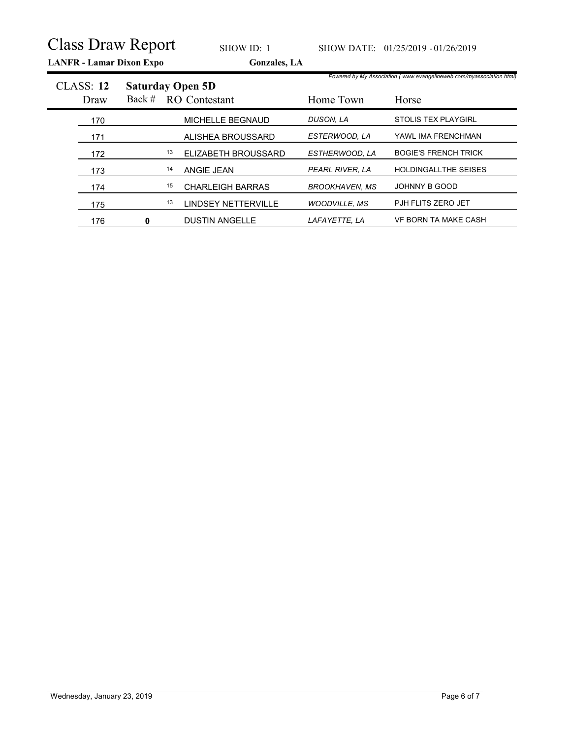| <b>Class Draw Report</b> |                                 |    |                                                 |                       |                                                                      |
|--------------------------|---------------------------------|----|-------------------------------------------------|-----------------------|----------------------------------------------------------------------|
|                          |                                 |    |                                                 |                       |                                                                      |
|                          | <b>LANFR</b> - Lamar Dixon Expo |    | SHOW ID: 1<br>Gonzales, LA                      |                       | SHOW DATE: 01/25/2019 - 01/26/2019                                   |
|                          |                                 |    |                                                 |                       | Powered by My Association (www.evangelineweb.com/myassociation.html) |
| <b>CLASS: 12</b><br>Draw | Back #                          |    | <b>Saturday Open 5D</b><br><b>RO</b> Contestant | Home Town             | Horse                                                                |
| 170                      |                                 |    | MICHELLE BEGNAUD                                | DUSON, LA             | STOLIS TEX PLAYGIRL                                                  |
| 171                      |                                 |    | ALISHEA BROUSSARD                               | ESTERWOOD, LA         | YAWL IMA FRENCHMAN                                                   |
| 172                      |                                 | 13 | ELIZABETH BROUSSARD                             | ESTHERWOOD, LA        | <b>BOGIE'S FRENCH TRICK</b>                                          |
| 173                      |                                 | 14 | ANGIE JEAN                                      | PEARL RIVER, LA       | HOLDINGALLTHE SEISES                                                 |
| 174                      |                                 | 15 | <b>CHARLEIGH BARRAS</b>                         | <b>BROOKHAVEN, MS</b> | JOHNNY B GOOD                                                        |
| 175                      |                                 | 13 | <b>LINDSEY NETTERVILLE</b>                      | <b>WOODVILLE, MS</b>  | PJH FLITS ZERO JET                                                   |